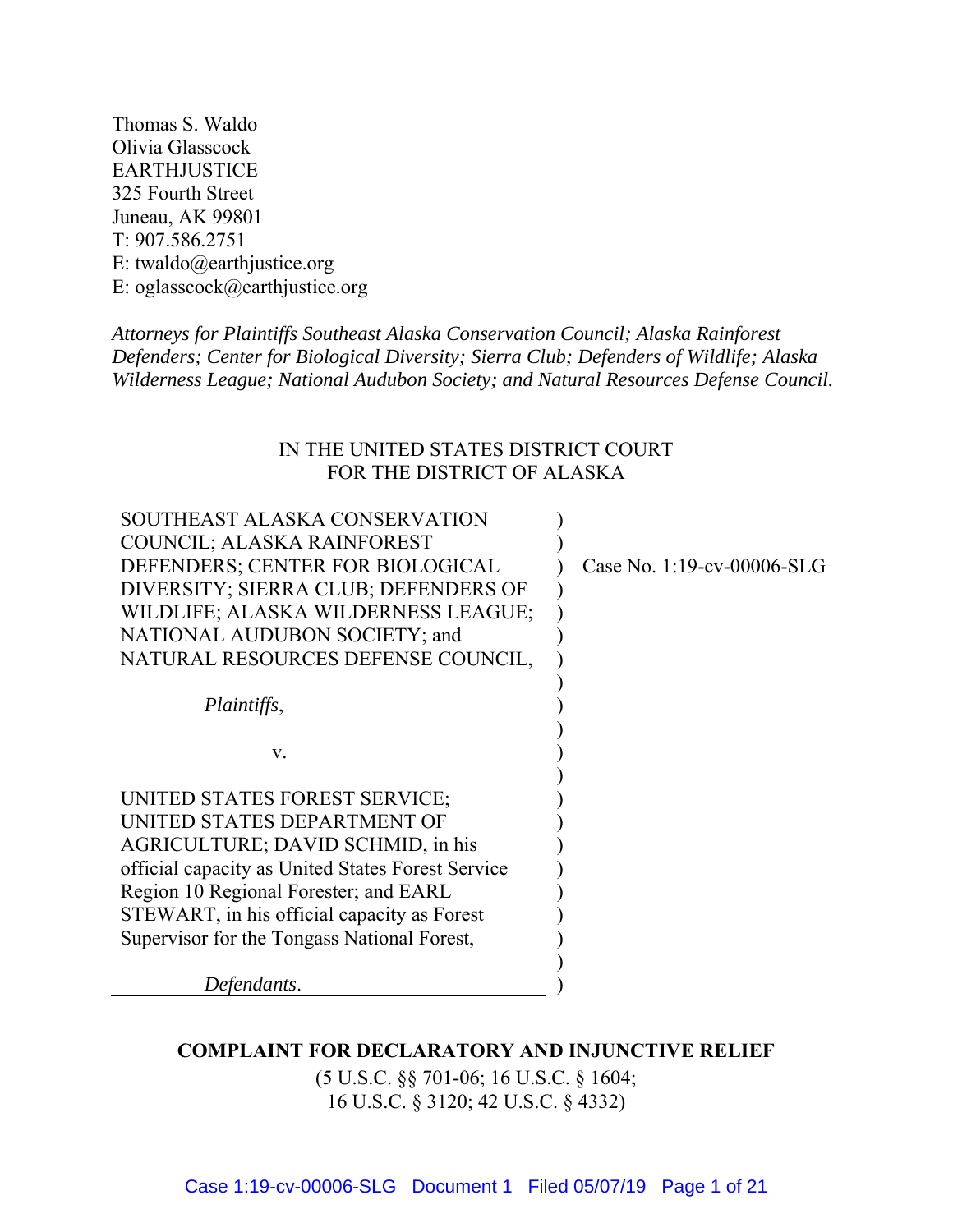Thomas S. Waldo Olivia Glasscock EARTHJUSTICE 325 Fourth Street Juneau, AK 99801 T: 907.586.2751 E: twaldo@earthjustice.org E: oglasscock@earthjustice.org

*Attorneys for Plaintiffs Southeast Alaska Conservation Council; Alaska Rainforest Defenders; Center for Biological Diversity; Sierra Club; Defenders of Wildlife; Alaska Wilderness League; National Audubon Society; and Natural Resources Defense Council.* 

# IN THE UNITED STATES DISTRICT COURT FOR THE DISTRICT OF ALASKA

| SOUTHEAST ALASKA CONSERVATION                     |                            |
|---------------------------------------------------|----------------------------|
| COUNCIL; ALASKA RAINFOREST                        |                            |
| DEFENDERS; CENTER FOR BIOLOGICAL                  | Case No. 1:19-cv-00006-SLG |
| DIVERSITY; SIERRA CLUB; DEFENDERS OF              |                            |
| WILDLIFE; ALASKA WILDERNESS LEAGUE;               |                            |
| NATIONAL AUDUBON SOCIETY; and                     |                            |
| NATURAL RESOURCES DEFENSE COUNCIL,                |                            |
|                                                   |                            |
| Plaintiffs,                                       |                            |
|                                                   |                            |
| V.                                                |                            |
|                                                   |                            |
| UNITED STATES FOREST SERVICE;                     |                            |
| UNITED STATES DEPARTMENT OF                       |                            |
| AGRICULTURE; DAVID SCHMID, in his                 |                            |
| official capacity as United States Forest Service |                            |
| Region 10 Regional Forester; and EARL             |                            |
| STEWART, in his official capacity as Forest       |                            |
| Supervisor for the Tongass National Forest,       |                            |
|                                                   |                            |
| Defendants.                                       |                            |
|                                                   |                            |

## **COMPLAINT FOR DECLARATORY AND INJUNCTIVE RELIEF**

(5 U.S.C. §§ 701-06; 16 U.S.C. § 1604; 16 U.S.C. § 3120; 42 U.S.C. § 4332)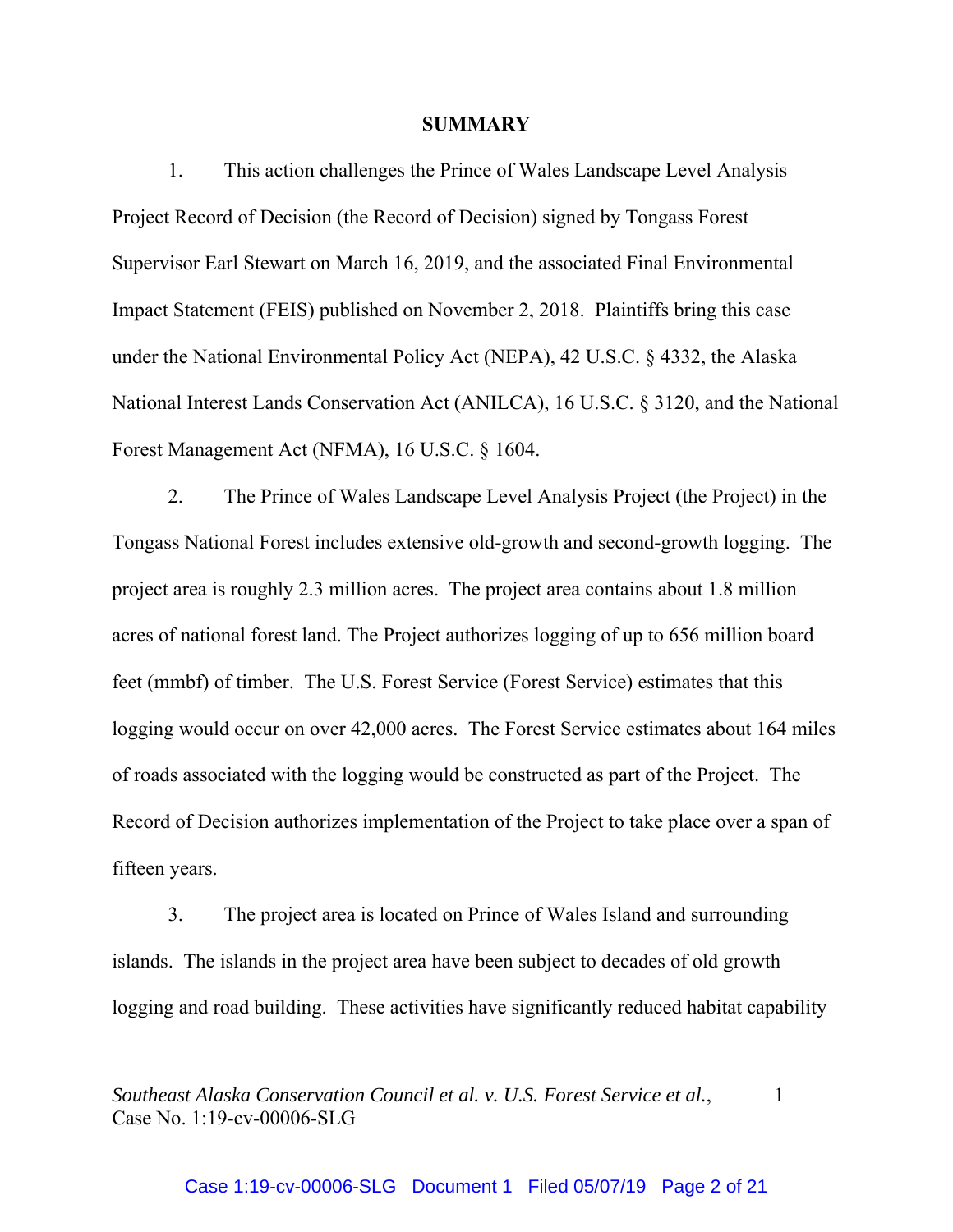### **SUMMARY**

1. This action challenges the Prince of Wales Landscape Level Analysis Project Record of Decision (the Record of Decision) signed by Tongass Forest Supervisor Earl Stewart on March 16, 2019, and the associated Final Environmental Impact Statement (FEIS) published on November 2, 2018. Plaintiffs bring this case under the National Environmental Policy Act (NEPA), 42 U.S.C. § 4332, the Alaska National Interest Lands Conservation Act (ANILCA), 16 U.S.C. § 3120, and the National Forest Management Act (NFMA), 16 U.S.C. § 1604.

2. The Prince of Wales Landscape Level Analysis Project (the Project) in the Tongass National Forest includes extensive old-growth and second-growth logging. The project area is roughly 2.3 million acres. The project area contains about 1.8 million acres of national forest land. The Project authorizes logging of up to 656 million board feet (mmbf) of timber. The U.S. Forest Service (Forest Service) estimates that this logging would occur on over 42,000 acres. The Forest Service estimates about 164 miles of roads associated with the logging would be constructed as part of the Project. The Record of Decision authorizes implementation of the Project to take place over a span of fifteen years.

3. The project area is located on Prince of Wales Island and surrounding islands. The islands in the project area have been subject to decades of old growth logging and road building. These activities have significantly reduced habitat capability

*Southeast Alaska Conservation Council et al. v. U.S. Forest Service et al.,* 1 Case No. 1:19-cv-00006-SLG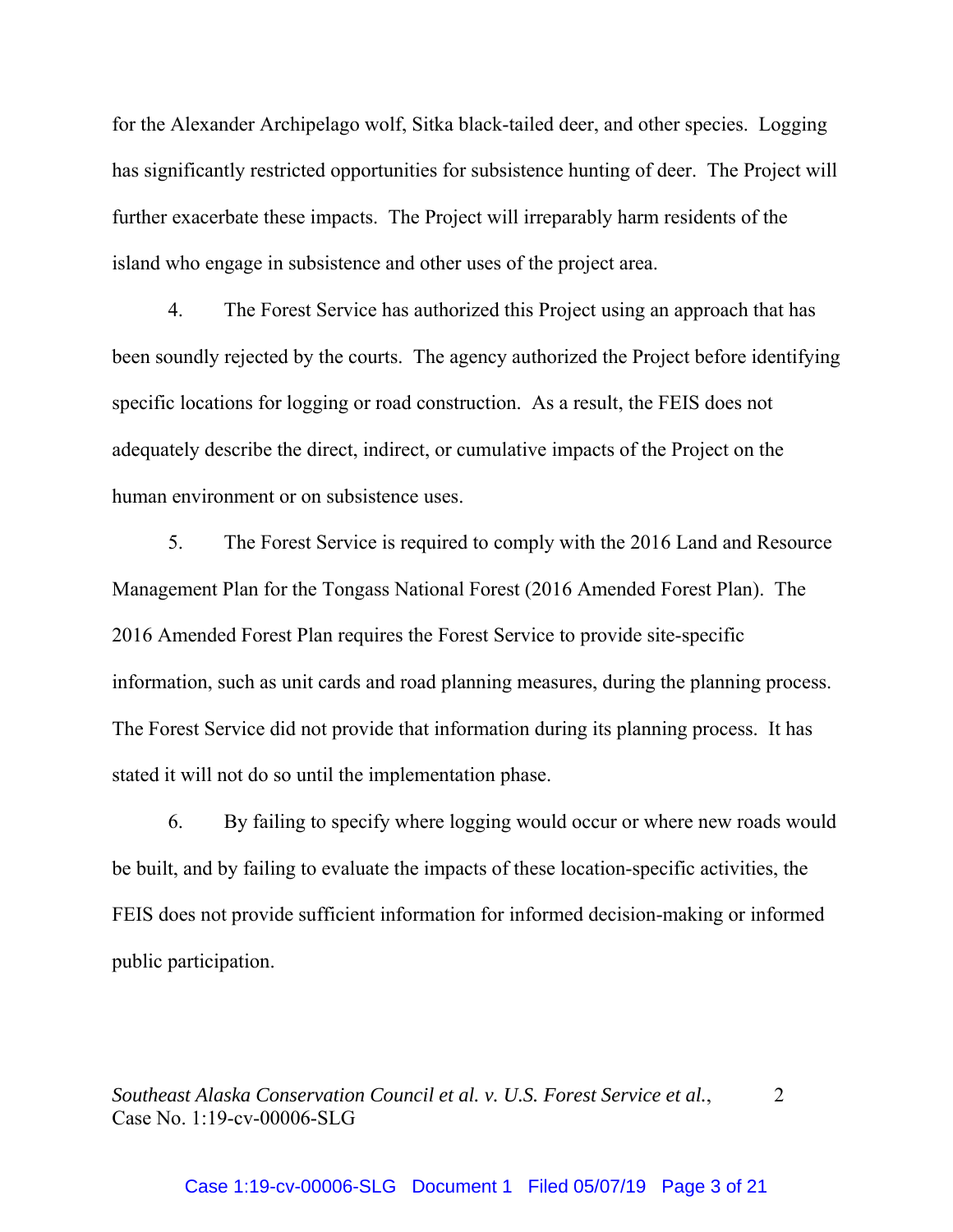for the Alexander Archipelago wolf, Sitka black-tailed deer, and other species. Logging has significantly restricted opportunities for subsistence hunting of deer. The Project will further exacerbate these impacts. The Project will irreparably harm residents of the island who engage in subsistence and other uses of the project area.

4. The Forest Service has authorized this Project using an approach that has been soundly rejected by the courts. The agency authorized the Project before identifying specific locations for logging or road construction. As a result, the FEIS does not adequately describe the direct, indirect, or cumulative impacts of the Project on the human environment or on subsistence uses.

5. The Forest Service is required to comply with the 2016 Land and Resource Management Plan for the Tongass National Forest (2016 Amended Forest Plan). The 2016 Amended Forest Plan requires the Forest Service to provide site-specific information, such as unit cards and road planning measures, during the planning process. The Forest Service did not provide that information during its planning process. It has stated it will not do so until the implementation phase.

6. By failing to specify where logging would occur or where new roads would be built, and by failing to evaluate the impacts of these location-specific activities, the FEIS does not provide sufficient information for informed decision-making or informed public participation.

*Southeast Alaska Conservation Council et al. v. U.S. Forest Service et al.*, 2 Case No. 1:19-cv-00006-SLG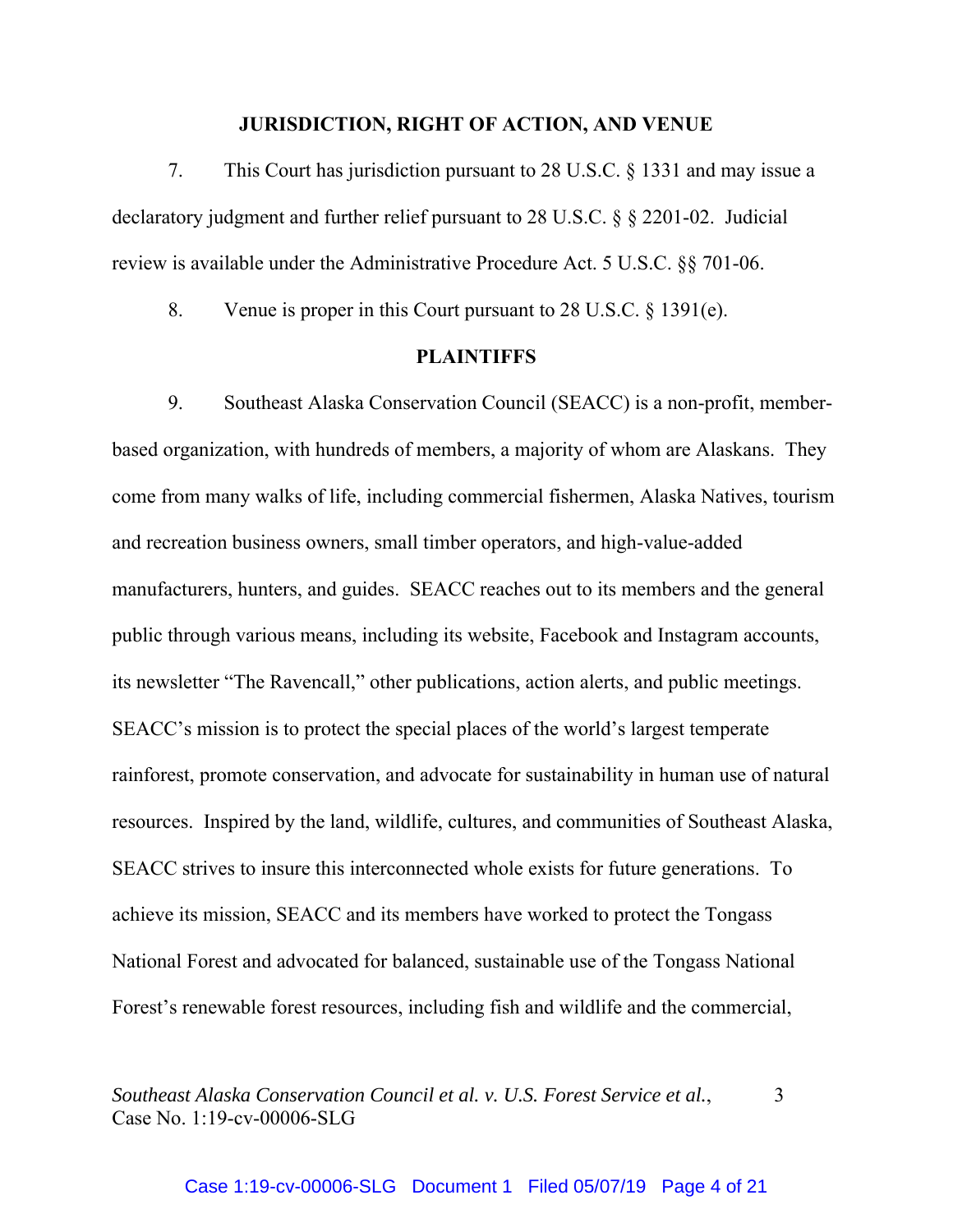## **JURISDICTION, RIGHT OF ACTION, AND VENUE**

7. This Court has jurisdiction pursuant to 28 U.S.C. § 1331 and may issue a declaratory judgment and further relief pursuant to 28 U.S.C. § § 2201-02. Judicial review is available under the Administrative Procedure Act. 5 U.S.C. §§ 701-06.

8. Venue is proper in this Court pursuant to 28 U.S.C. § 1391(e).

## **PLAINTIFFS**

9. Southeast Alaska Conservation Council (SEACC) is a non-profit, memberbased organization, with hundreds of members, a majority of whom are Alaskans. They come from many walks of life, including commercial fishermen, Alaska Natives, tourism and recreation business owners, small timber operators, and high-value-added manufacturers, hunters, and guides. SEACC reaches out to its members and the general public through various means, including its website, Facebook and Instagram accounts, its newsletter "The Ravencall," other publications, action alerts, and public meetings. SEACC's mission is to protect the special places of the world's largest temperate rainforest, promote conservation, and advocate for sustainability in human use of natural resources. Inspired by the land, wildlife, cultures, and communities of Southeast Alaska, SEACC strives to insure this interconnected whole exists for future generations. To achieve its mission, SEACC and its members have worked to protect the Tongass National Forest and advocated for balanced, sustainable use of the Tongass National Forest's renewable forest resources, including fish and wildlife and the commercial,

*Southeast Alaska Conservation Council et al. v. U.S. Forest Service et al.*, 3 Case No. 1:19-cv-00006-SLG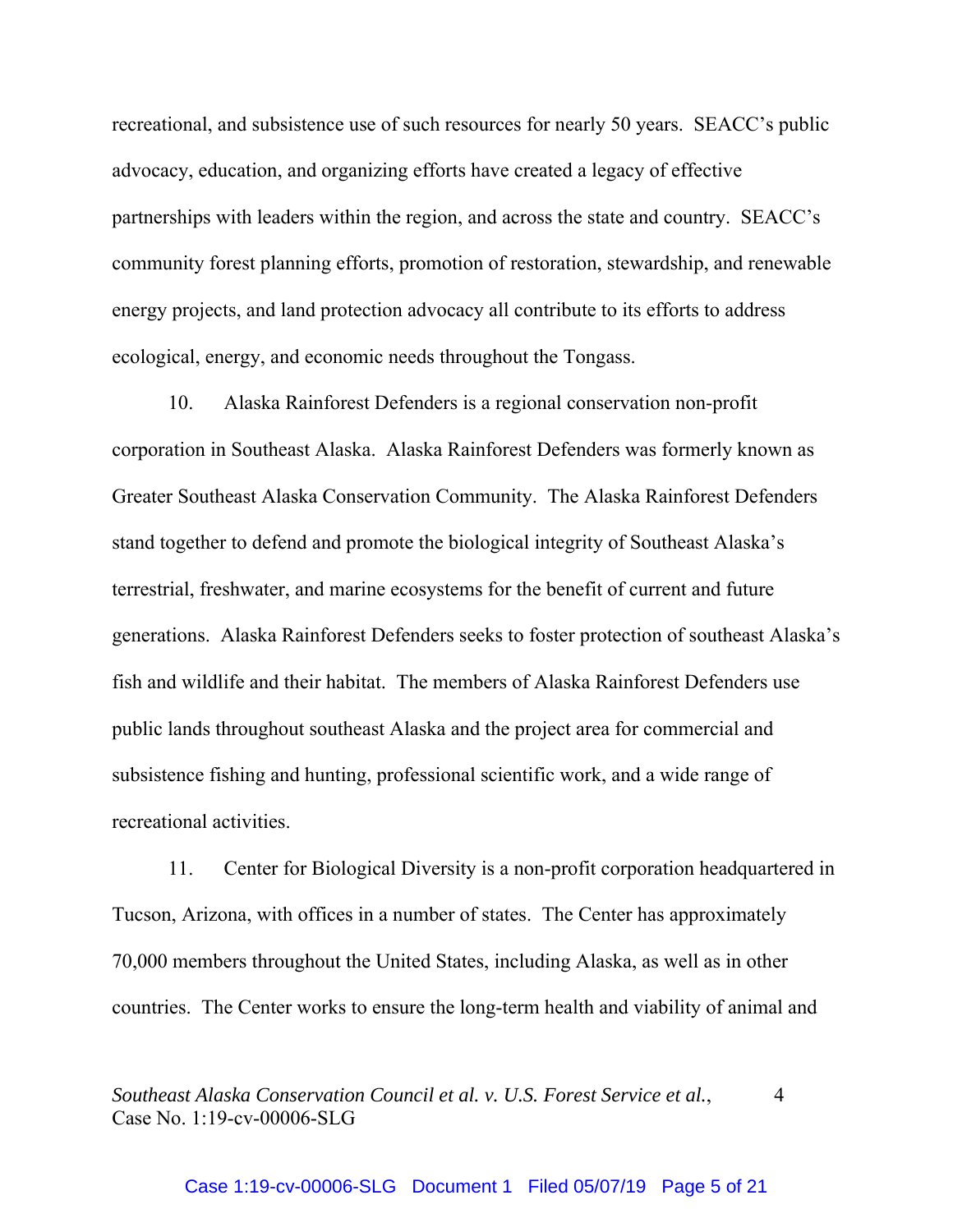recreational, and subsistence use of such resources for nearly 50 years. SEACC's public advocacy, education, and organizing efforts have created a legacy of effective partnerships with leaders within the region, and across the state and country. SEACC's community forest planning efforts, promotion of restoration, stewardship, and renewable energy projects, and land protection advocacy all contribute to its efforts to address ecological, energy, and economic needs throughout the Tongass.

10. Alaska Rainforest Defenders is a regional conservation non-profit corporation in Southeast Alaska. Alaska Rainforest Defenders was formerly known as Greater Southeast Alaska Conservation Community. The Alaska Rainforest Defenders stand together to defend and promote the biological integrity of Southeast Alaska's terrestrial, freshwater, and marine ecosystems for the benefit of current and future generations. Alaska Rainforest Defenders seeks to foster protection of southeast Alaska's fish and wildlife and their habitat. The members of Alaska Rainforest Defenders use public lands throughout southeast Alaska and the project area for commercial and subsistence fishing and hunting, professional scientific work, and a wide range of recreational activities.

11. Center for Biological Diversity is a non-profit corporation headquartered in Tucson, Arizona, with offices in a number of states. The Center has approximately 70,000 members throughout the United States, including Alaska, as well as in other countries. The Center works to ensure the long-term health and viability of animal and

*Southeast Alaska Conservation Council et al. v. U.S. Forest Service et al.*, 4 Case No. 1:19-cv-00006-SLG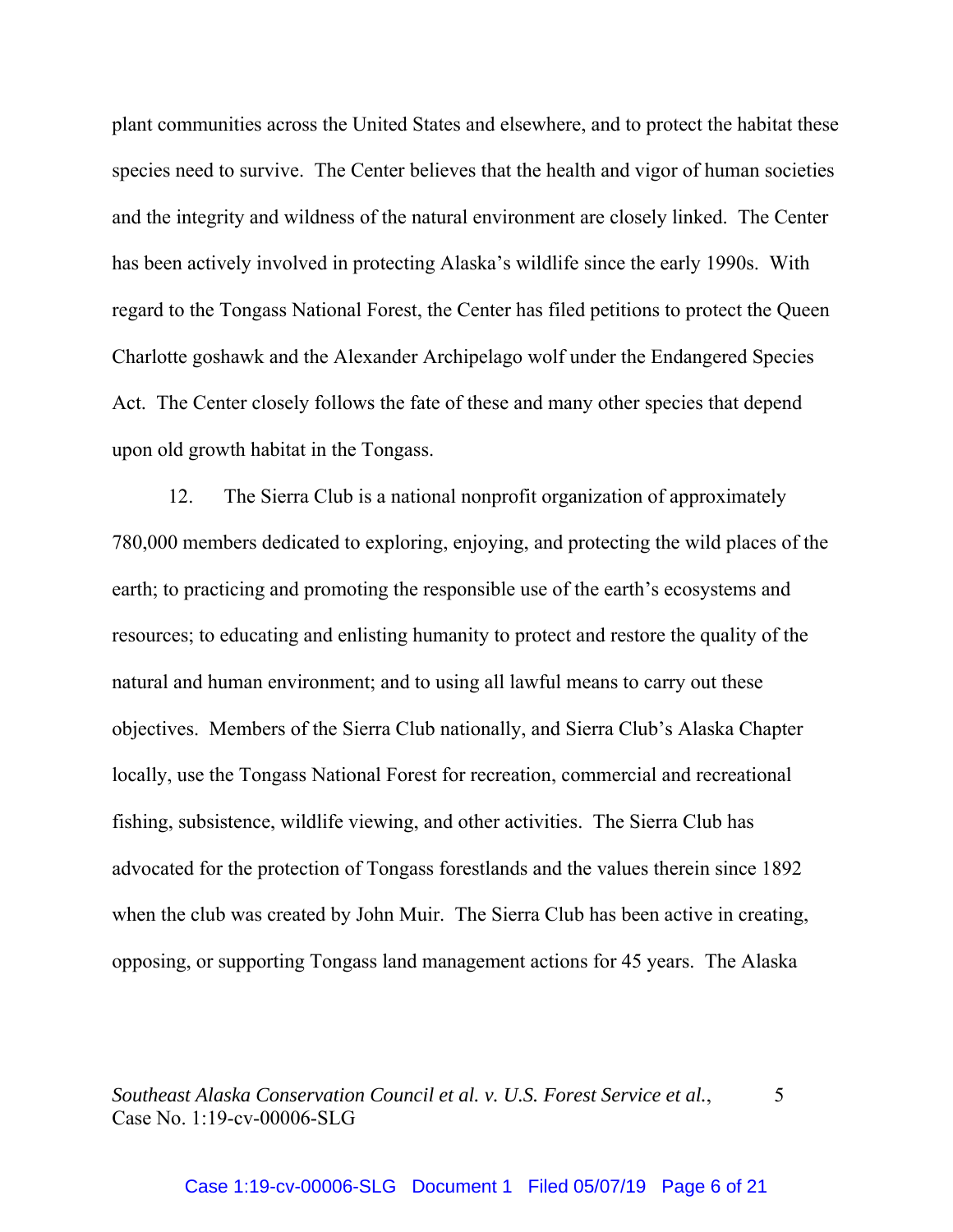plant communities across the United States and elsewhere, and to protect the habitat these species need to survive. The Center believes that the health and vigor of human societies and the integrity and wildness of the natural environment are closely linked. The Center has been actively involved in protecting Alaska's wildlife since the early 1990s. With regard to the Tongass National Forest, the Center has filed petitions to protect the Queen Charlotte goshawk and the Alexander Archipelago wolf under the Endangered Species Act. The Center closely follows the fate of these and many other species that depend upon old growth habitat in the Tongass.

12. The Sierra Club is a national nonprofit organization of approximately 780,000 members dedicated to exploring, enjoying, and protecting the wild places of the earth; to practicing and promoting the responsible use of the earth's ecosystems and resources; to educating and enlisting humanity to protect and restore the quality of the natural and human environment; and to using all lawful means to carry out these objectives. Members of the Sierra Club nationally, and Sierra Club's Alaska Chapter locally, use the Tongass National Forest for recreation, commercial and recreational fishing, subsistence, wildlife viewing, and other activities. The Sierra Club has advocated for the protection of Tongass forestlands and the values therein since 1892 when the club was created by John Muir. The Sierra Club has been active in creating, opposing, or supporting Tongass land management actions for 45 years. The Alaska

*Southeast Alaska Conservation Council et al. v. U.S. Forest Service et al.*, 5 Case No. 1:19-cv-00006-SLG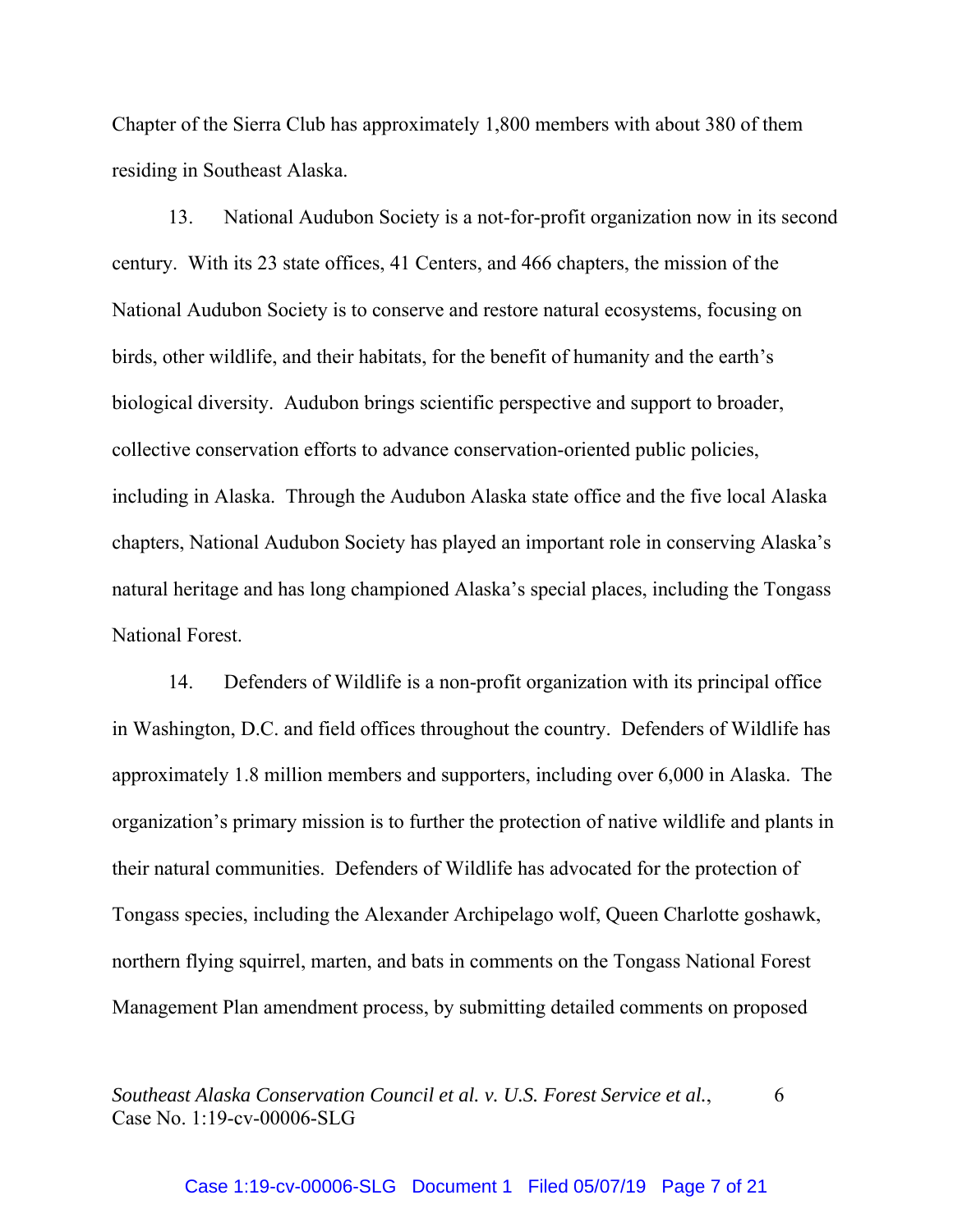Chapter of the Sierra Club has approximately 1,800 members with about 380 of them residing in Southeast Alaska.

13. National Audubon Society is a not-for-profit organization now in its second century. With its 23 state offices, 41 Centers, and 466 chapters, the mission of the National Audubon Society is to conserve and restore natural ecosystems, focusing on birds, other wildlife, and their habitats, for the benefit of humanity and the earth's biological diversity. Audubon brings scientific perspective and support to broader, collective conservation efforts to advance conservation-oriented public policies, including in Alaska. Through the Audubon Alaska state office and the five local Alaska chapters, National Audubon Society has played an important role in conserving Alaska's natural heritage and has long championed Alaska's special places, including the Tongass National Forest.

14. Defenders of Wildlife is a non-profit organization with its principal office in Washington, D.C. and field offices throughout the country. Defenders of Wildlife has approximately 1.8 million members and supporters, including over 6,000 in Alaska. The organization's primary mission is to further the protection of native wildlife and plants in their natural communities. Defenders of Wildlife has advocated for the protection of Tongass species, including the Alexander Archipelago wolf, Queen Charlotte goshawk, northern flying squirrel, marten, and bats in comments on the Tongass National Forest Management Plan amendment process, by submitting detailed comments on proposed

*Southeast Alaska Conservation Council et al. v. U.S. Forest Service et al.,* 6 Case No. 1:19-cv-00006-SLG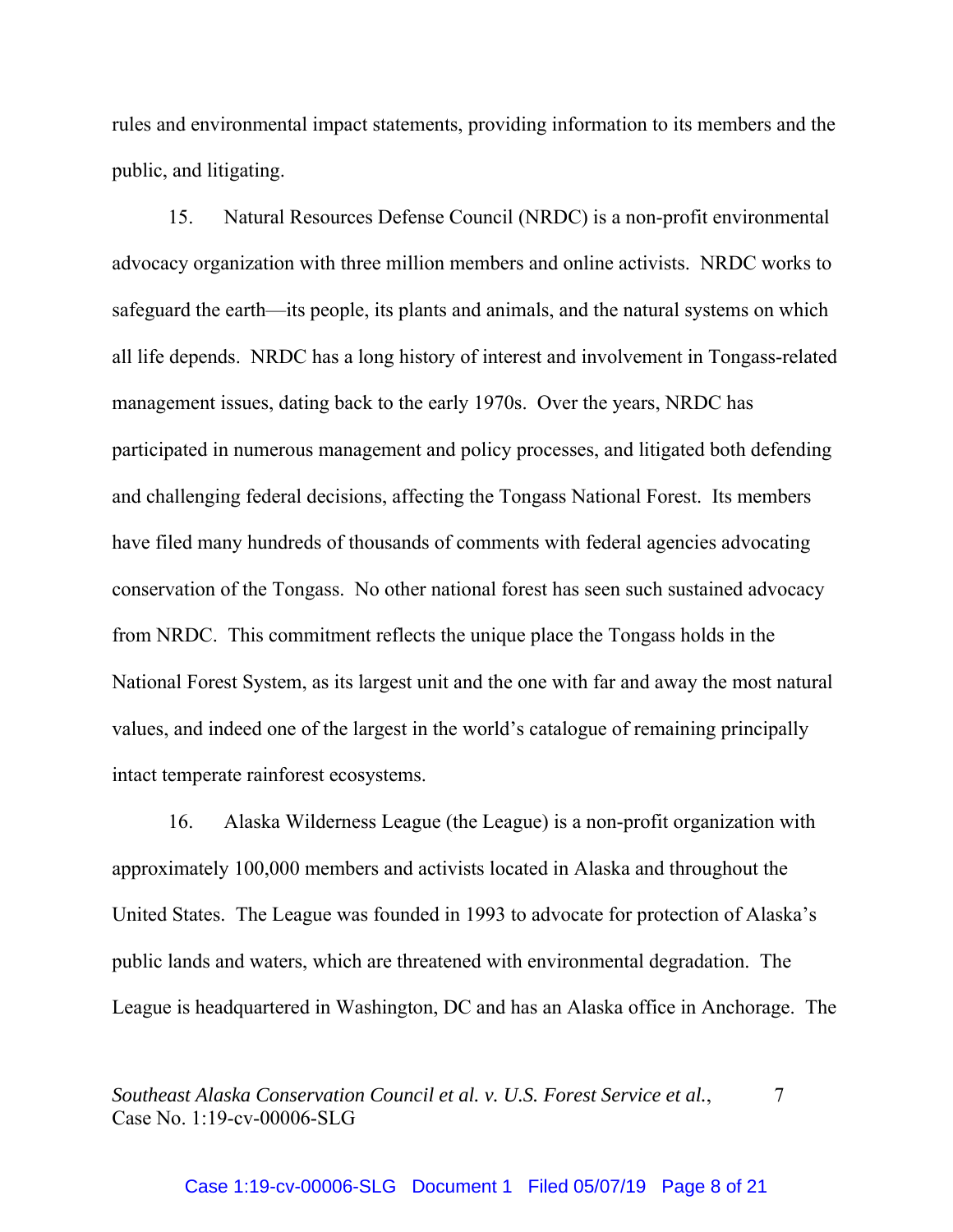rules and environmental impact statements, providing information to its members and the public, and litigating.

15. Natural Resources Defense Council (NRDC) is a non-profit environmental advocacy organization with three million members and online activists. NRDC works to safeguard the earth—its people, its plants and animals, and the natural systems on which all life depends. NRDC has a long history of interest and involvement in Tongass-related management issues, dating back to the early 1970s. Over the years, NRDC has participated in numerous management and policy processes, and litigated both defending and challenging federal decisions, affecting the Tongass National Forest. Its members have filed many hundreds of thousands of comments with federal agencies advocating conservation of the Tongass. No other national forest has seen such sustained advocacy from NRDC. This commitment reflects the unique place the Tongass holds in the National Forest System, as its largest unit and the one with far and away the most natural values, and indeed one of the largest in the world's catalogue of remaining principally intact temperate rainforest ecosystems.

16. Alaska Wilderness League (the League) is a non-profit organization with approximately 100,000 members and activists located in Alaska and throughout the United States. The League was founded in 1993 to advocate for protection of Alaska's public lands and waters, which are threatened with environmental degradation. The League is headquartered in Washington, DC and has an Alaska office in Anchorage. The

*Southeast Alaska Conservation Council et al. v. U.S. Forest Service et al.,*  $\overline{7}$ Case No. 1:19-cv-00006-SLG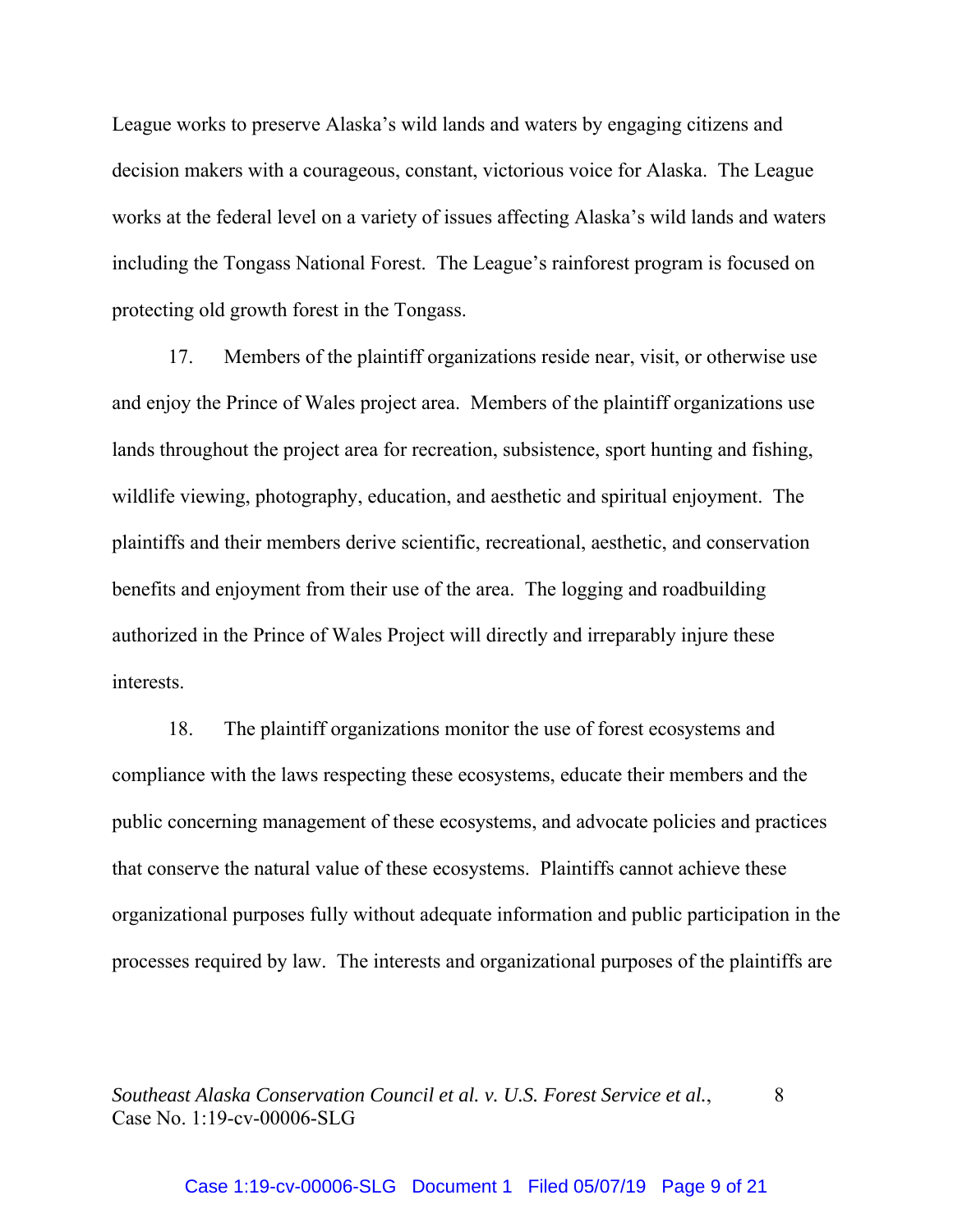League works to preserve Alaska's wild lands and waters by engaging citizens and decision makers with a courageous, constant, victorious voice for Alaska. The League works at the federal level on a variety of issues affecting Alaska's wild lands and waters including the Tongass National Forest. The League's rainforest program is focused on protecting old growth forest in the Tongass.

17. Members of the plaintiff organizations reside near, visit, or otherwise use and enjoy the Prince of Wales project area. Members of the plaintiff organizations use lands throughout the project area for recreation, subsistence, sport hunting and fishing, wildlife viewing, photography, education, and aesthetic and spiritual enjoyment. The plaintiffs and their members derive scientific, recreational, aesthetic, and conservation benefits and enjoyment from their use of the area. The logging and roadbuilding authorized in the Prince of Wales Project will directly and irreparably injure these interests.

18. The plaintiff organizations monitor the use of forest ecosystems and compliance with the laws respecting these ecosystems, educate their members and the public concerning management of these ecosystems, and advocate policies and practices that conserve the natural value of these ecosystems. Plaintiffs cannot achieve these organizational purposes fully without adequate information and public participation in the processes required by law. The interests and organizational purposes of the plaintiffs are

*Southeast Alaska Conservation Council et al. v. U.S. Forest Service et al.,* 8 Case No. 1:19-cv-00006-SLG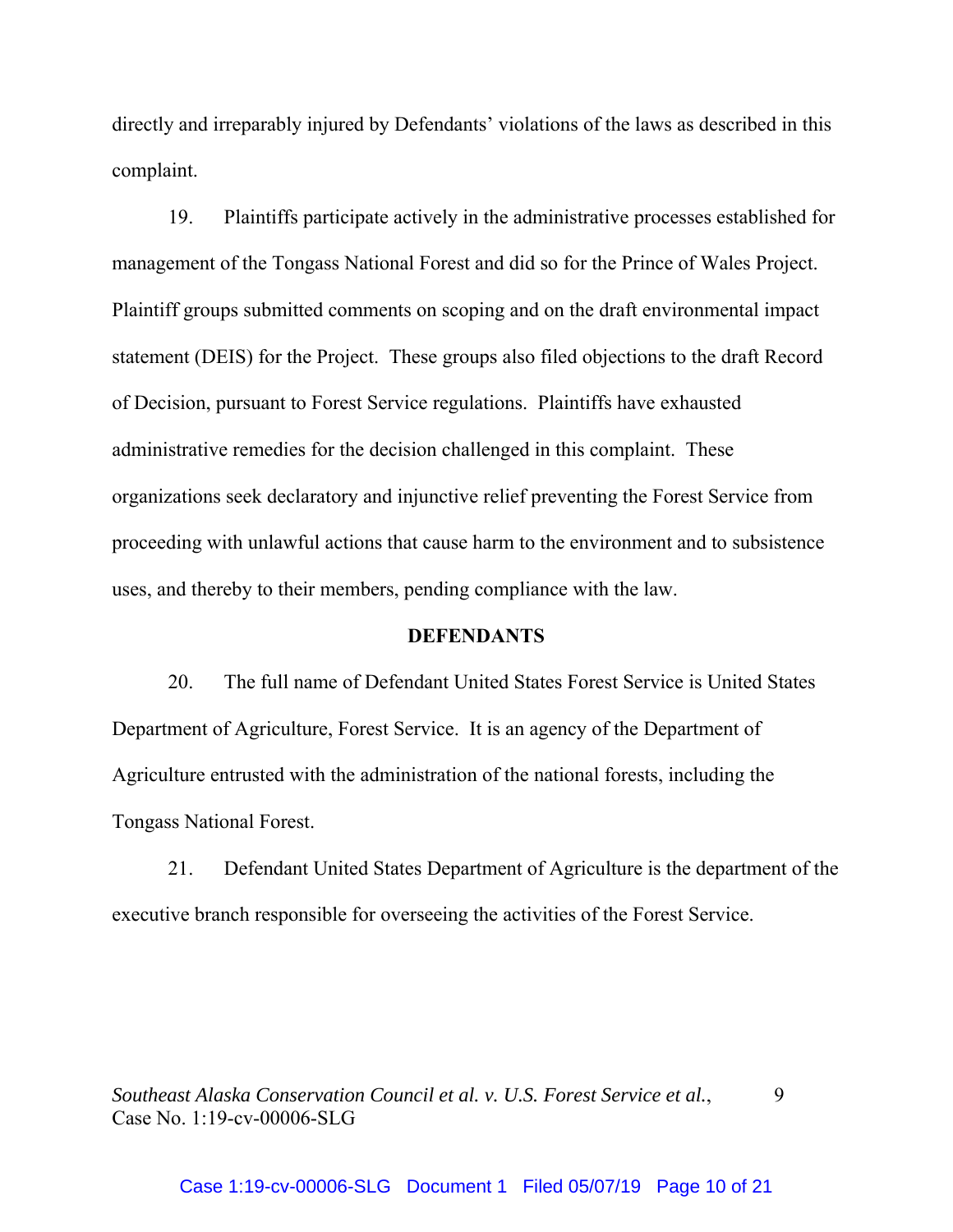directly and irreparably injured by Defendants' violations of the laws as described in this complaint.

19. Plaintiffs participate actively in the administrative processes established for management of the Tongass National Forest and did so for the Prince of Wales Project. Plaintiff groups submitted comments on scoping and on the draft environmental impact statement (DEIS) for the Project. These groups also filed objections to the draft Record of Decision, pursuant to Forest Service regulations. Plaintiffs have exhausted administrative remedies for the decision challenged in this complaint. These organizations seek declaratory and injunctive relief preventing the Forest Service from proceeding with unlawful actions that cause harm to the environment and to subsistence uses, and thereby to their members, pending compliance with the law.

## **DEFENDANTS**

20. The full name of Defendant United States Forest Service is United States Department of Agriculture, Forest Service. It is an agency of the Department of Agriculture entrusted with the administration of the national forests, including the Tongass National Forest.

21. Defendant United States Department of Agriculture is the department of the executive branch responsible for overseeing the activities of the Forest Service.

*Southeast Alaska Conservation Council et al. v. U.S. Forest Service et al.,* 9 Case No. 1:19-cv-00006-SLG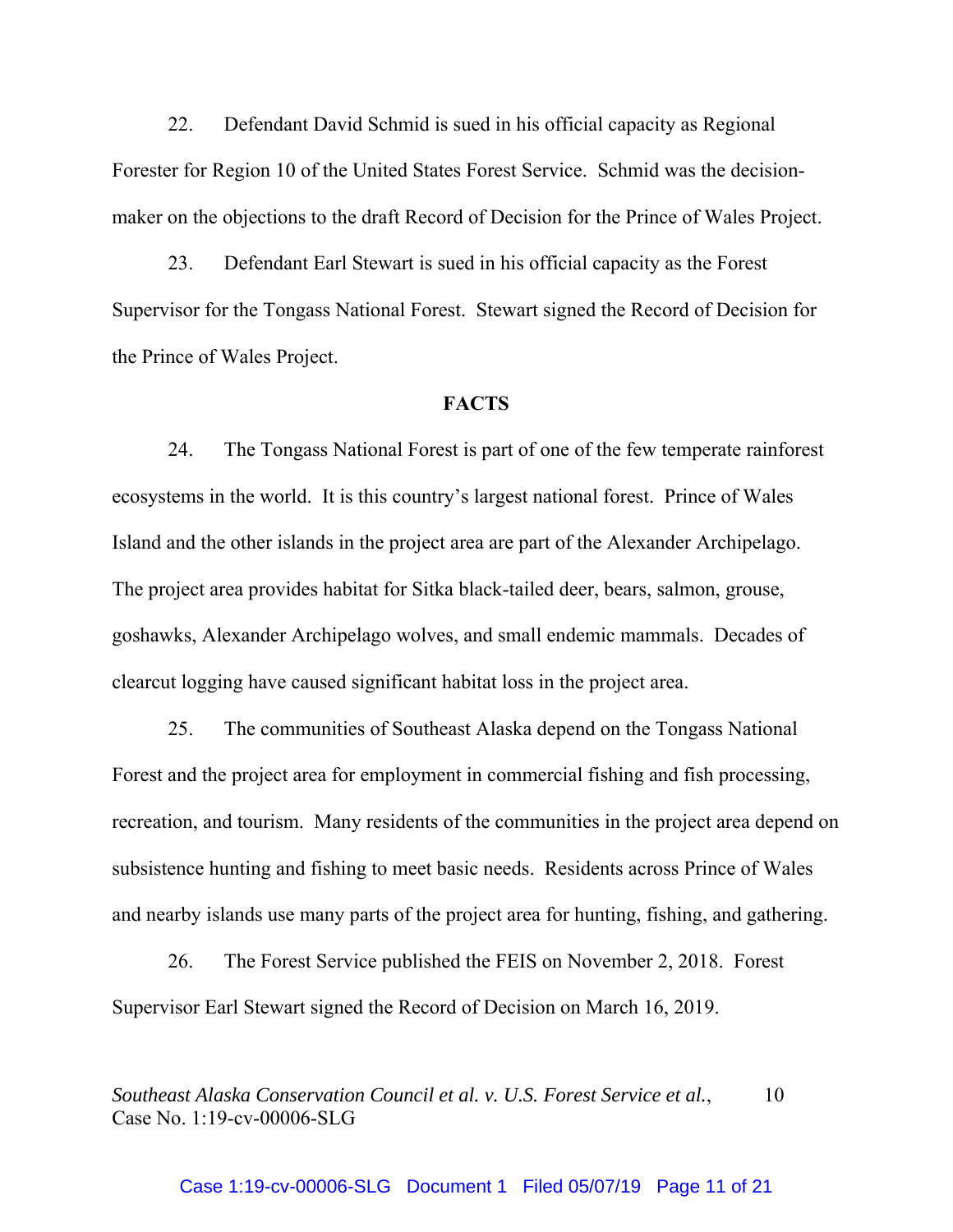22. Defendant David Schmid is sued in his official capacity as Regional Forester for Region 10 of the United States Forest Service. Schmid was the decisionmaker on the objections to the draft Record of Decision for the Prince of Wales Project.

23. Defendant Earl Stewart is sued in his official capacity as the Forest Supervisor for the Tongass National Forest. Stewart signed the Record of Decision for the Prince of Wales Project.

## **FACTS**

24. The Tongass National Forest is part of one of the few temperate rainforest ecosystems in the world. It is this country's largest national forest. Prince of Wales Island and the other islands in the project area are part of the Alexander Archipelago. The project area provides habitat for Sitka black-tailed deer, bears, salmon, grouse, goshawks, Alexander Archipelago wolves, and small endemic mammals. Decades of clearcut logging have caused significant habitat loss in the project area.

25. The communities of Southeast Alaska depend on the Tongass National Forest and the project area for employment in commercial fishing and fish processing, recreation, and tourism. Many residents of the communities in the project area depend on subsistence hunting and fishing to meet basic needs. Residents across Prince of Wales and nearby islands use many parts of the project area for hunting, fishing, and gathering.

26. The Forest Service published the FEIS on November 2, 2018. Forest Supervisor Earl Stewart signed the Record of Decision on March 16, 2019.

*Southeast Alaska Conservation Council et al. v. U.S. Forest Service et al.*, 10 Case No. 1:19-cv-00006-SLG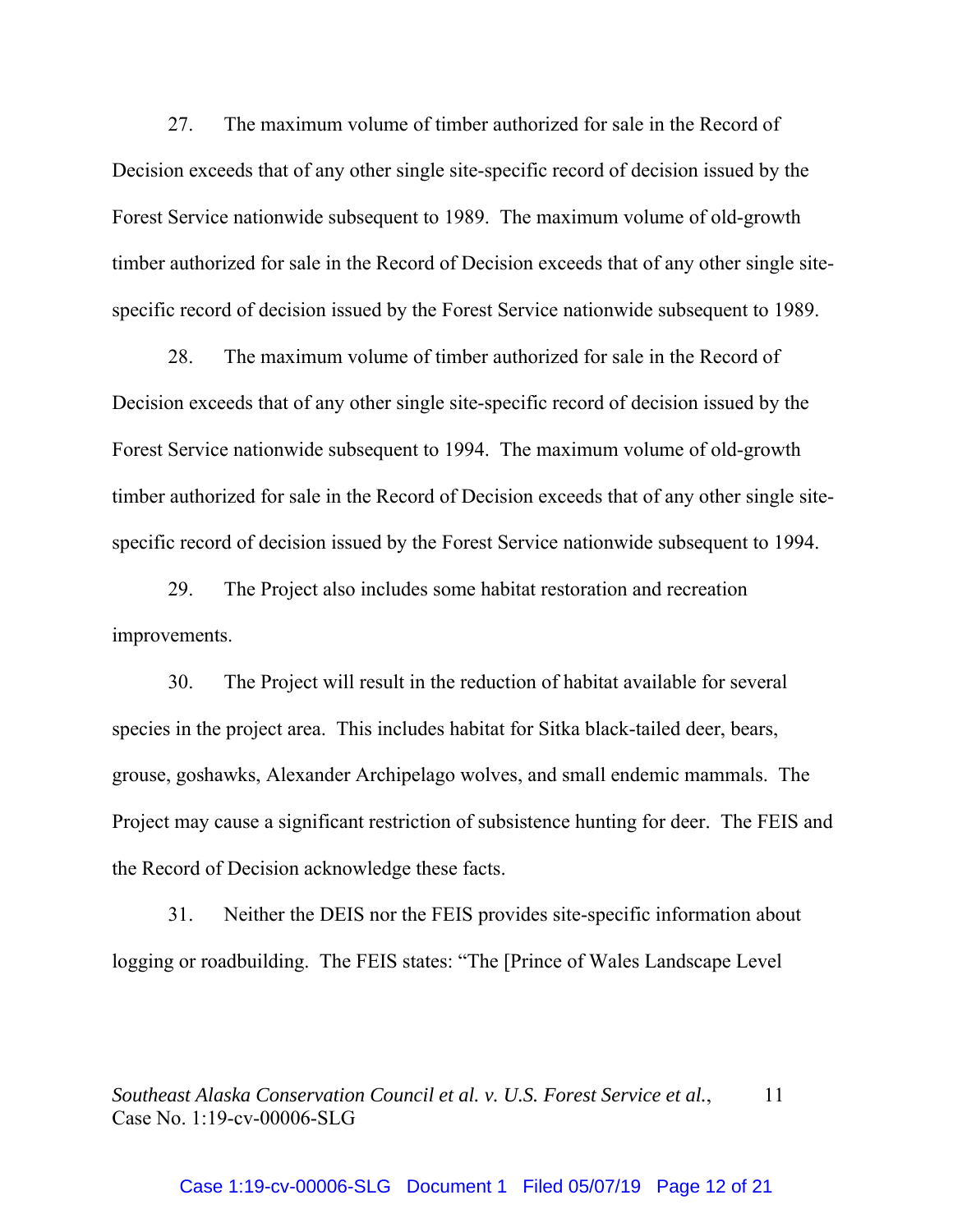27. The maximum volume of timber authorized for sale in the Record of Decision exceeds that of any other single site-specific record of decision issued by the Forest Service nationwide subsequent to 1989. The maximum volume of old-growth timber authorized for sale in the Record of Decision exceeds that of any other single sitespecific record of decision issued by the Forest Service nationwide subsequent to 1989.

28. The maximum volume of timber authorized for sale in the Record of Decision exceeds that of any other single site-specific record of decision issued by the Forest Service nationwide subsequent to 1994. The maximum volume of old-growth timber authorized for sale in the Record of Decision exceeds that of any other single sitespecific record of decision issued by the Forest Service nationwide subsequent to 1994.

29. The Project also includes some habitat restoration and recreation improvements.

30. The Project will result in the reduction of habitat available for several species in the project area. This includes habitat for Sitka black-tailed deer, bears, grouse, goshawks, Alexander Archipelago wolves, and small endemic mammals. The Project may cause a significant restriction of subsistence hunting for deer. The FEIS and the Record of Decision acknowledge these facts.

31. Neither the DEIS nor the FEIS provides site-specific information about logging or roadbuilding. The FEIS states: "The [Prince of Wales Landscape Level

*Southeast Alaska Conservation Council et al. v. U.S. Forest Service et al.,* 11 Case No. 1:19-cv-00006-SLG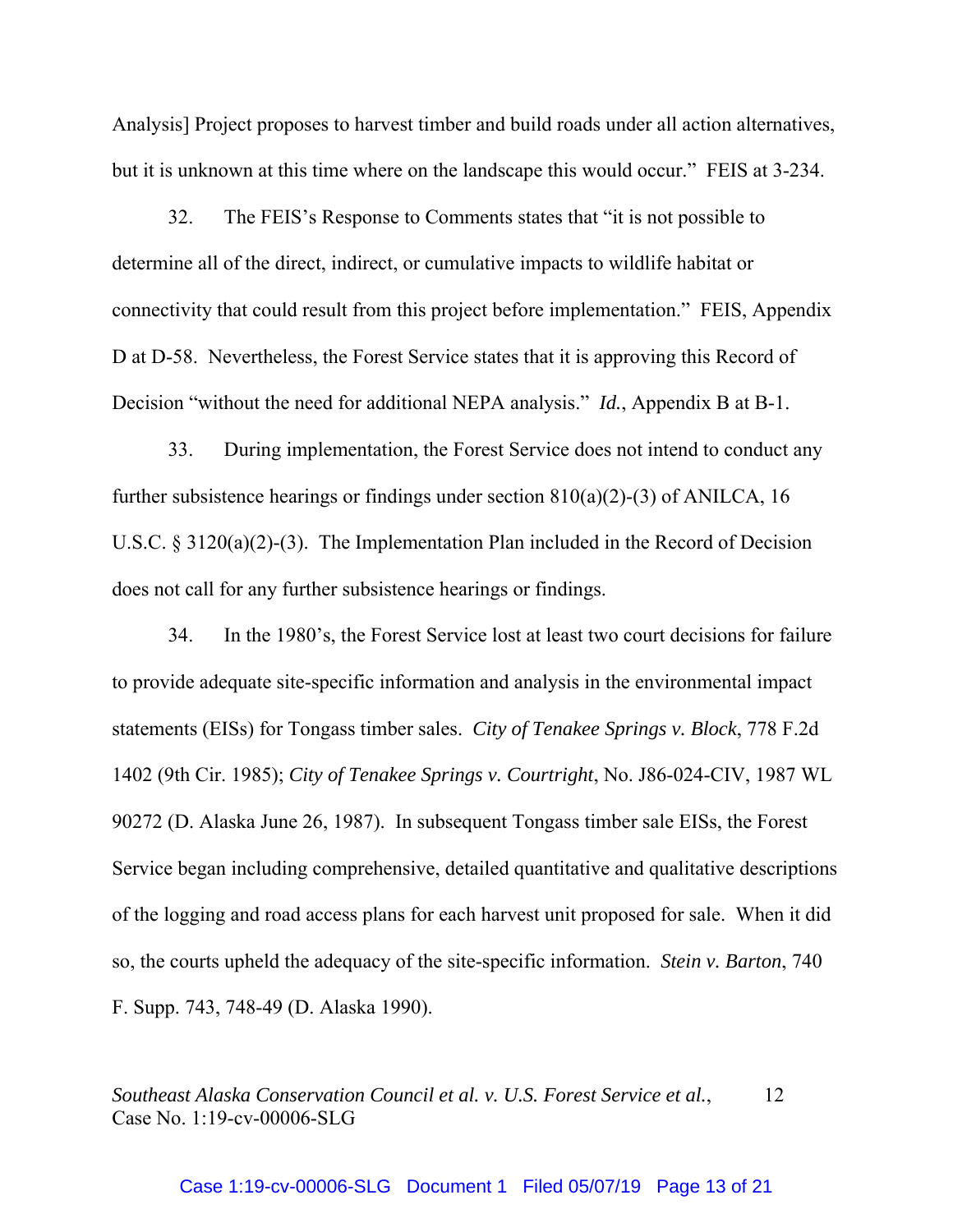Analysis] Project proposes to harvest timber and build roads under all action alternatives, but it is unknown at this time where on the landscape this would occur." FEIS at 3-234.

32. The FEIS's Response to Comments states that "it is not possible to determine all of the direct, indirect, or cumulative impacts to wildlife habitat or connectivity that could result from this project before implementation." FEIS, Appendix D at D-58. Nevertheless, the Forest Service states that it is approving this Record of Decision "without the need for additional NEPA analysis." *Id.*, Appendix B at B-1.

33. During implementation, the Forest Service does not intend to conduct any further subsistence hearings or findings under section  $810(a)(2)-(3)$  of ANILCA, 16 U.S.C. § 3120(a)(2)-(3). The Implementation Plan included in the Record of Decision does not call for any further subsistence hearings or findings.

34. In the 1980's, the Forest Service lost at least two court decisions for failure to provide adequate site-specific information and analysis in the environmental impact statements (EISs) for Tongass timber sales. *City of Tenakee Springs v. Block*, 778 F.2d 1402 (9th Cir. 1985); *City of Tenakee Springs v. Courtright*, No. J86-024-CIV, 1987 WL 90272 (D. Alaska June 26, 1987). In subsequent Tongass timber sale EISs, the Forest Service began including comprehensive, detailed quantitative and qualitative descriptions of the logging and road access plans for each harvest unit proposed for sale. When it did so, the courts upheld the adequacy of the site-specific information. *Stein v. Barton*, 740 F. Supp. 743, 748-49 (D. Alaska 1990).

*Southeast Alaska Conservation Council et al. v. U.S. Forest Service et al.*, 12 Case No. 1:19-cv-00006-SLG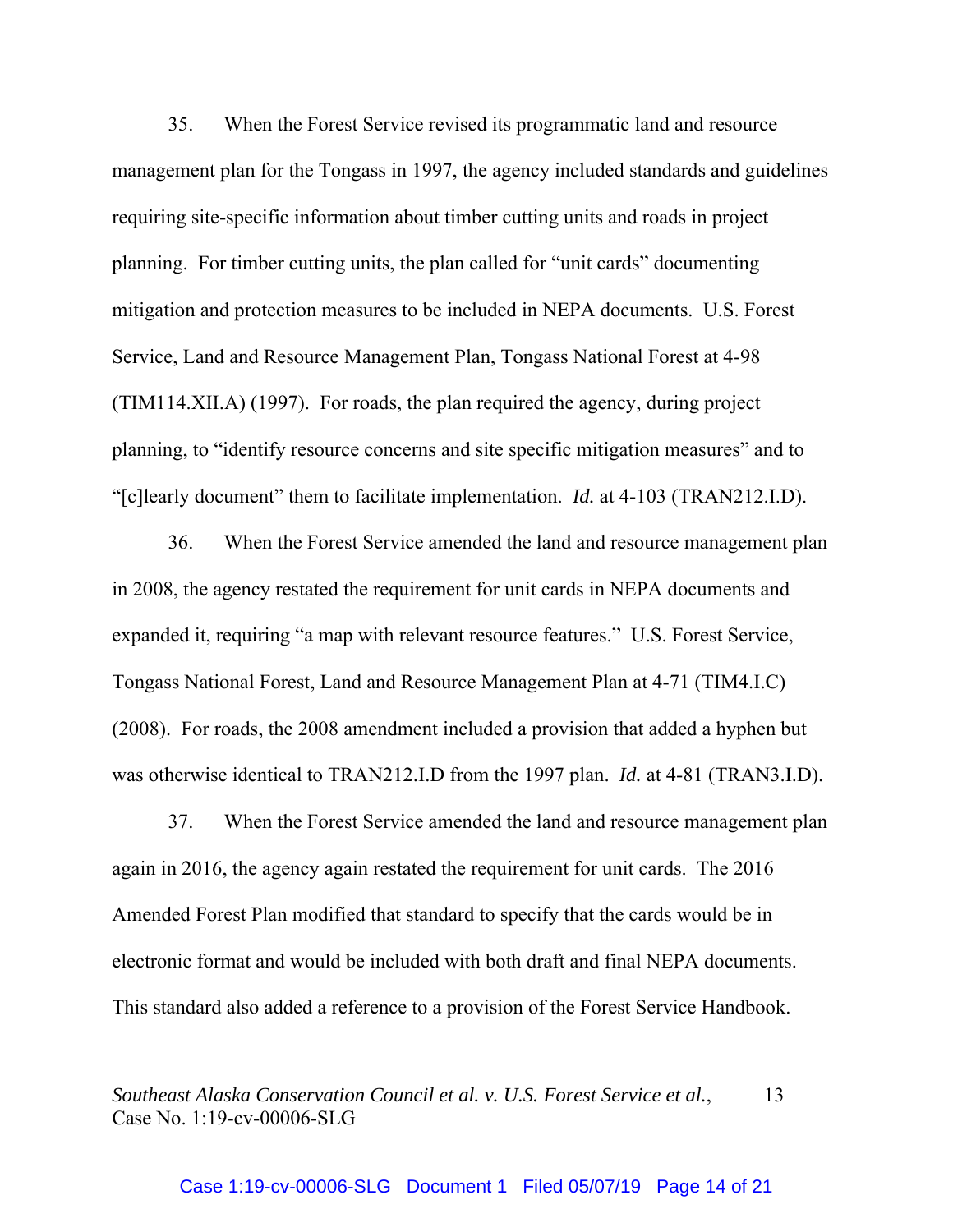35. When the Forest Service revised its programmatic land and resource management plan for the Tongass in 1997, the agency included standards and guidelines requiring site-specific information about timber cutting units and roads in project planning. For timber cutting units, the plan called for "unit cards" documenting mitigation and protection measures to be included in NEPA documents. U.S. Forest Service, Land and Resource Management Plan, Tongass National Forest at 4-98 (TIM114.XII.A) (1997). For roads, the plan required the agency, during project planning, to "identify resource concerns and site specific mitigation measures" and to "[c]learly document" them to facilitate implementation. *Id.* at 4-103 (TRAN212.I.D).

36. When the Forest Service amended the land and resource management plan in 2008, the agency restated the requirement for unit cards in NEPA documents and expanded it, requiring "a map with relevant resource features." U.S. Forest Service, Tongass National Forest, Land and Resource Management Plan at 4-71 (TIM4.I.C) (2008). For roads, the 2008 amendment included a provision that added a hyphen but was otherwise identical to TRAN212.I.D from the 1997 plan. *Id.* at 4-81 (TRAN3.I.D).

37. When the Forest Service amended the land and resource management plan again in 2016, the agency again restated the requirement for unit cards. The 2016 Amended Forest Plan modified that standard to specify that the cards would be in electronic format and would be included with both draft and final NEPA documents. This standard also added a reference to a provision of the Forest Service Handbook.

*Southeast Alaska Conservation Council et al. v. U.S. Forest Service et al.*, 13 Case No. 1:19-cv-00006-SLG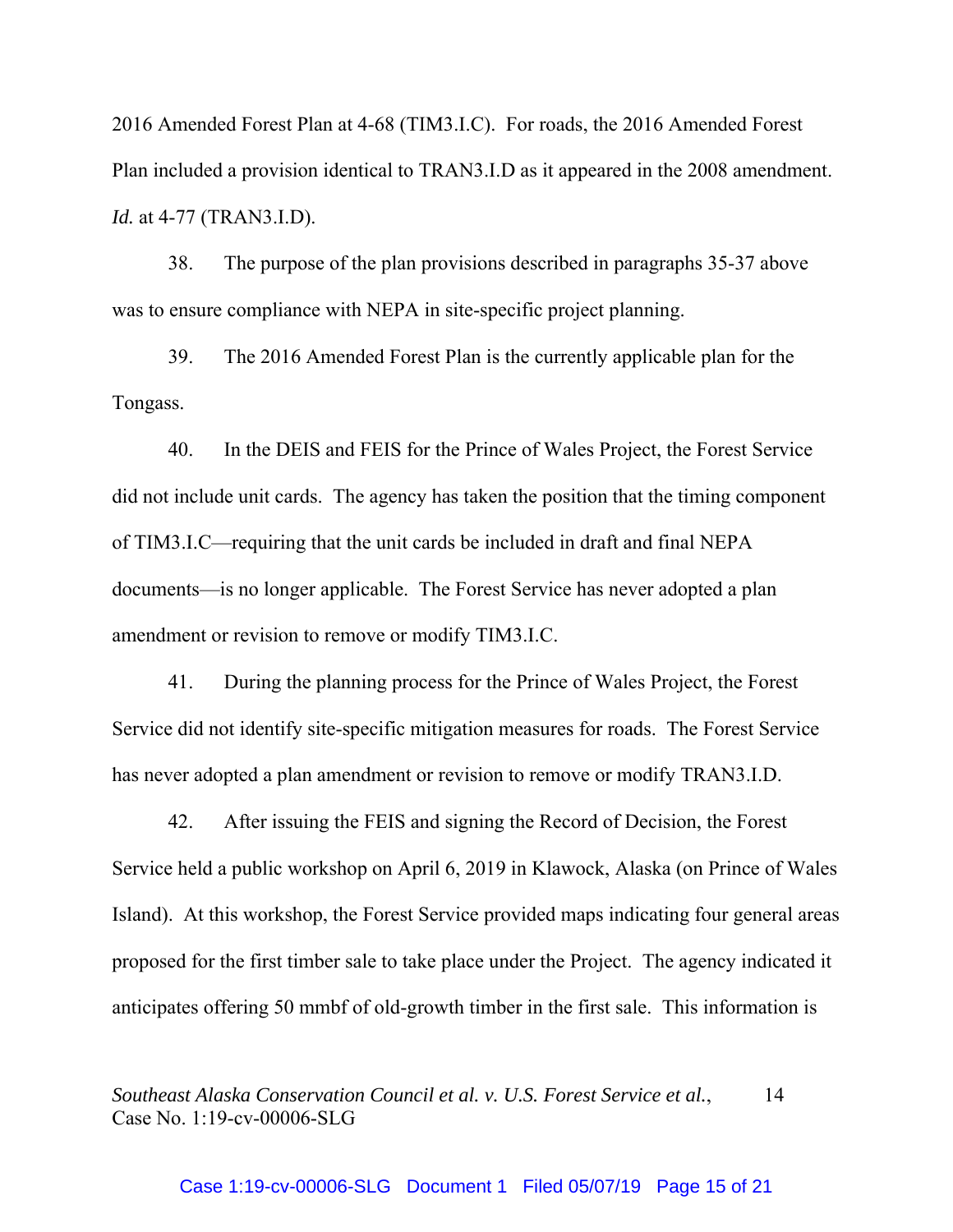2016 Amended Forest Plan at 4-68 (TIM3.I.C). For roads, the 2016 Amended Forest Plan included a provision identical to TRAN3.I.D as it appeared in the 2008 amendment. *Id.* at 4-77 (TRAN3.I.D).

38. The purpose of the plan provisions described in paragraphs 35-37 above was to ensure compliance with NEPA in site-specific project planning.

39. The 2016 Amended Forest Plan is the currently applicable plan for the Tongass.

40. In the DEIS and FEIS for the Prince of Wales Project, the Forest Service did not include unit cards. The agency has taken the position that the timing component of TIM3.I.C—requiring that the unit cards be included in draft and final NEPA documents—is no longer applicable. The Forest Service has never adopted a plan amendment or revision to remove or modify TIM3.I.C.

41. During the planning process for the Prince of Wales Project, the Forest Service did not identify site-specific mitigation measures for roads. The Forest Service has never adopted a plan amendment or revision to remove or modify TRAN3.I.D.

42. After issuing the FEIS and signing the Record of Decision, the Forest Service held a public workshop on April 6, 2019 in Klawock, Alaska (on Prince of Wales Island). At this workshop, the Forest Service provided maps indicating four general areas proposed for the first timber sale to take place under the Project. The agency indicated it anticipates offering 50 mmbf of old-growth timber in the first sale. This information is

*Southeast Alaska Conservation Council et al. v. U.S. Forest Service et al.*, 14 Case No. 1:19-cv-00006-SLG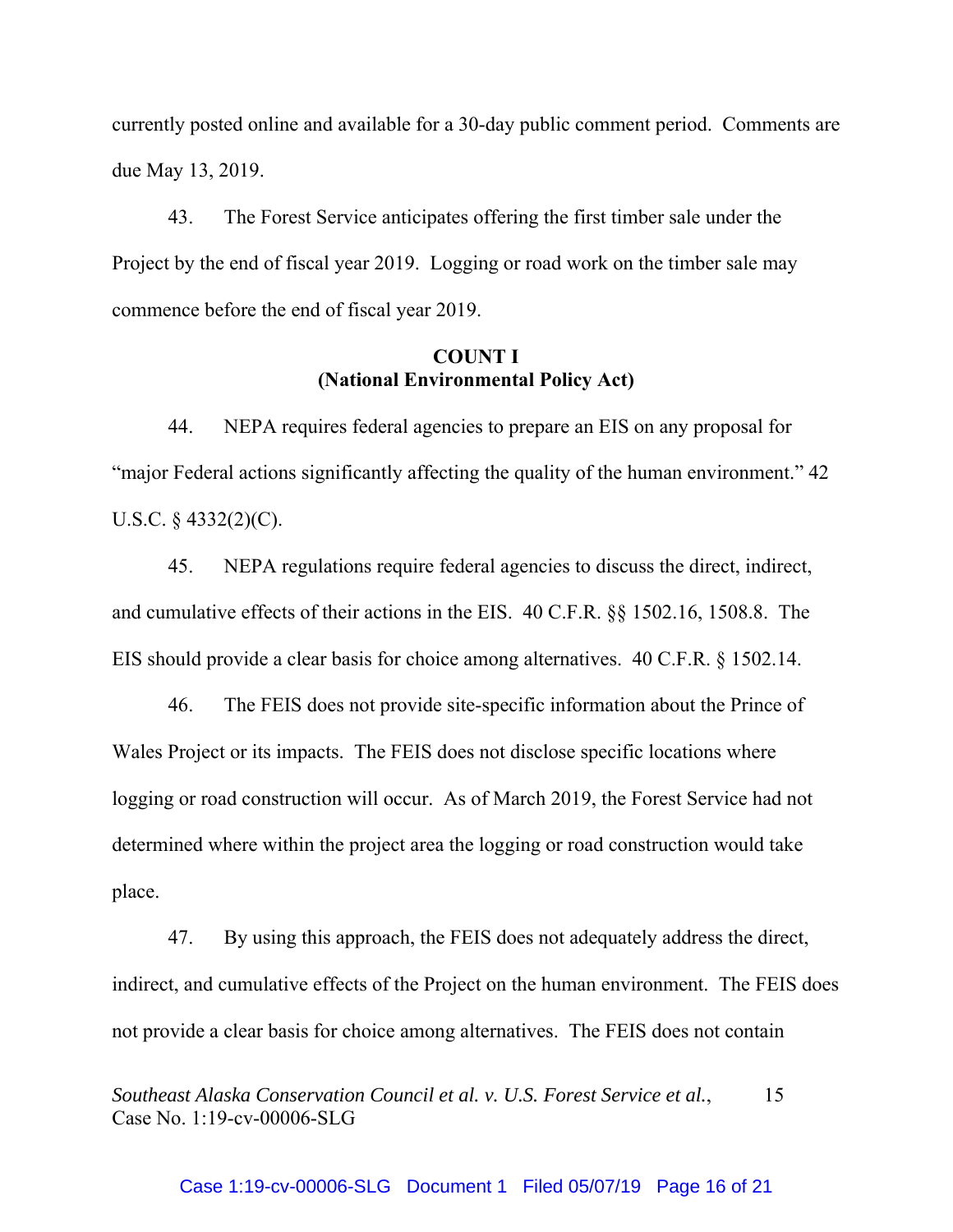currently posted online and available for a 30-day public comment period. Comments are due May 13, 2019.

43. The Forest Service anticipates offering the first timber sale under the Project by the end of fiscal year 2019. Logging or road work on the timber sale may commence before the end of fiscal year 2019.

# **COUNT I (National Environmental Policy Act)**

44. NEPA requires federal agencies to prepare an EIS on any proposal for "major Federal actions significantly affecting the quality of the human environment." 42 U.S.C.  $\S$  4332(2)(C).

45. NEPA regulations require federal agencies to discuss the direct, indirect, and cumulative effects of their actions in the EIS. 40 C.F.R. §§ 1502.16, 1508.8. The EIS should provide a clear basis for choice among alternatives. 40 C.F.R. § 1502.14.

46. The FEIS does not provide site-specific information about the Prince of Wales Project or its impacts. The FEIS does not disclose specific locations where logging or road construction will occur. As of March 2019, the Forest Service had not determined where within the project area the logging or road construction would take place.

47. By using this approach, the FEIS does not adequately address the direct, indirect, and cumulative effects of the Project on the human environment. The FEIS does not provide a clear basis for choice among alternatives. The FEIS does not contain

*Southeast Alaska Conservation Council et al. v. U.S. Forest Service et al.*, 15 Case No. 1:19-cv-00006-SLG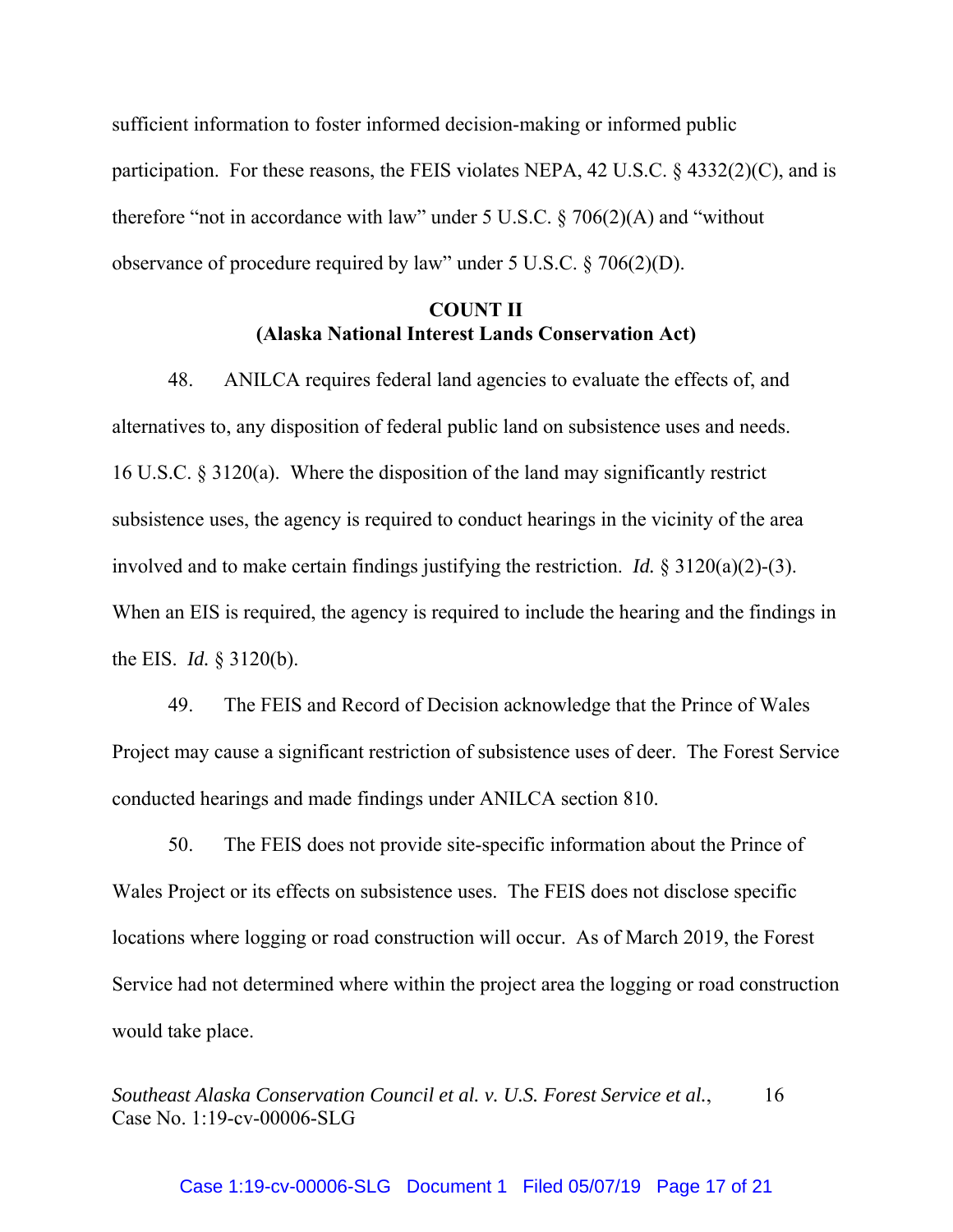sufficient information to foster informed decision-making or informed public participation. For these reasons, the FEIS violates NEPA, 42 U.S.C. § 4332(2)(C), and is therefore "not in accordance with law" under 5 U.S.C. § 706(2)(A) and "without observance of procedure required by law" under 5 U.S.C. § 706(2)(D).

# **COUNT II (Alaska National Interest Lands Conservation Act)**

48. ANILCA requires federal land agencies to evaluate the effects of, and alternatives to, any disposition of federal public land on subsistence uses and needs. 16 U.S.C. § 3120(a). Where the disposition of the land may significantly restrict subsistence uses, the agency is required to conduct hearings in the vicinity of the area involved and to make certain findings justifying the restriction. *Id.* § 3120(a)(2)-(3). When an EIS is required, the agency is required to include the hearing and the findings in the EIS. *Id.* § 3120(b).

49. The FEIS and Record of Decision acknowledge that the Prince of Wales Project may cause a significant restriction of subsistence uses of deer. The Forest Service conducted hearings and made findings under ANILCA section 810.

50. The FEIS does not provide site-specific information about the Prince of Wales Project or its effects on subsistence uses. The FEIS does not disclose specific locations where logging or road construction will occur. As of March 2019, the Forest Service had not determined where within the project area the logging or road construction would take place.

*Southeast Alaska Conservation Council et al. v. U.S. Forest Service et al.*, 16 Case No. 1:19-cv-00006-SLG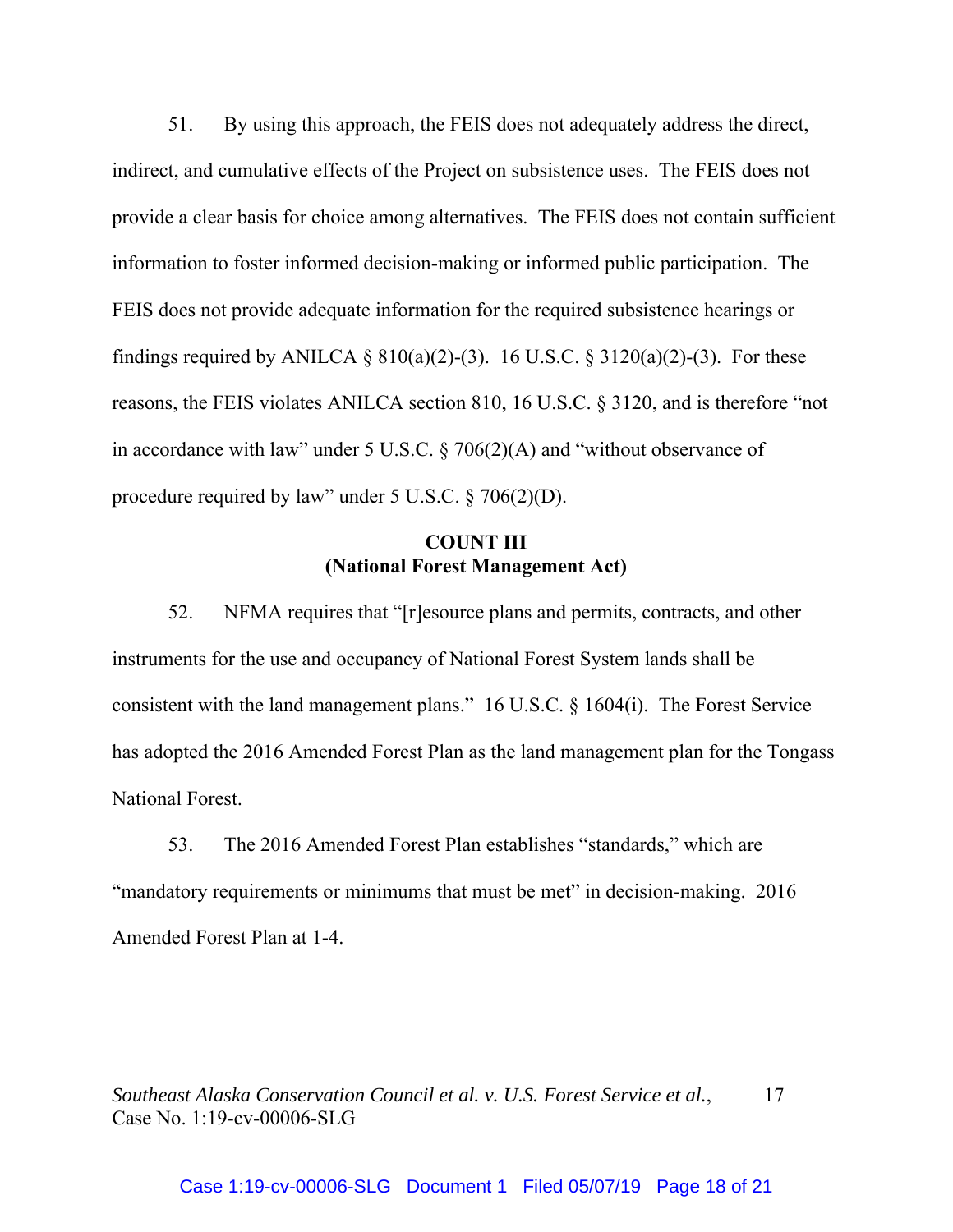51. By using this approach, the FEIS does not adequately address the direct, indirect, and cumulative effects of the Project on subsistence uses. The FEIS does not provide a clear basis for choice among alternatives. The FEIS does not contain sufficient information to foster informed decision-making or informed public participation. The FEIS does not provide adequate information for the required subsistence hearings or findings required by ANILCA §  $810(a)(2)-(3)$ . 16 U.S.C. §  $3120(a)(2)-(3)$ . For these reasons, the FEIS violates ANILCA section 810, 16 U.S.C. § 3120, and is therefore "not in accordance with law" under 5 U.S.C. § 706(2)(A) and "without observance of procedure required by law" under 5 U.S.C. § 706(2)(D).

# **COUNT III (National Forest Management Act)**

52. NFMA requires that "[r]esource plans and permits, contracts, and other instruments for the use and occupancy of National Forest System lands shall be consistent with the land management plans." 16 U.S.C. § 1604(i). The Forest Service has adopted the 2016 Amended Forest Plan as the land management plan for the Tongass National Forest.

53. The 2016 Amended Forest Plan establishes "standards," which are "mandatory requirements or minimums that must be met" in decision-making. 2016 Amended Forest Plan at 1-4.

*Southeast Alaska Conservation Council et al. v. U.S. Forest Service et al.*, 17 Case No. 1:19-cv-00006-SLG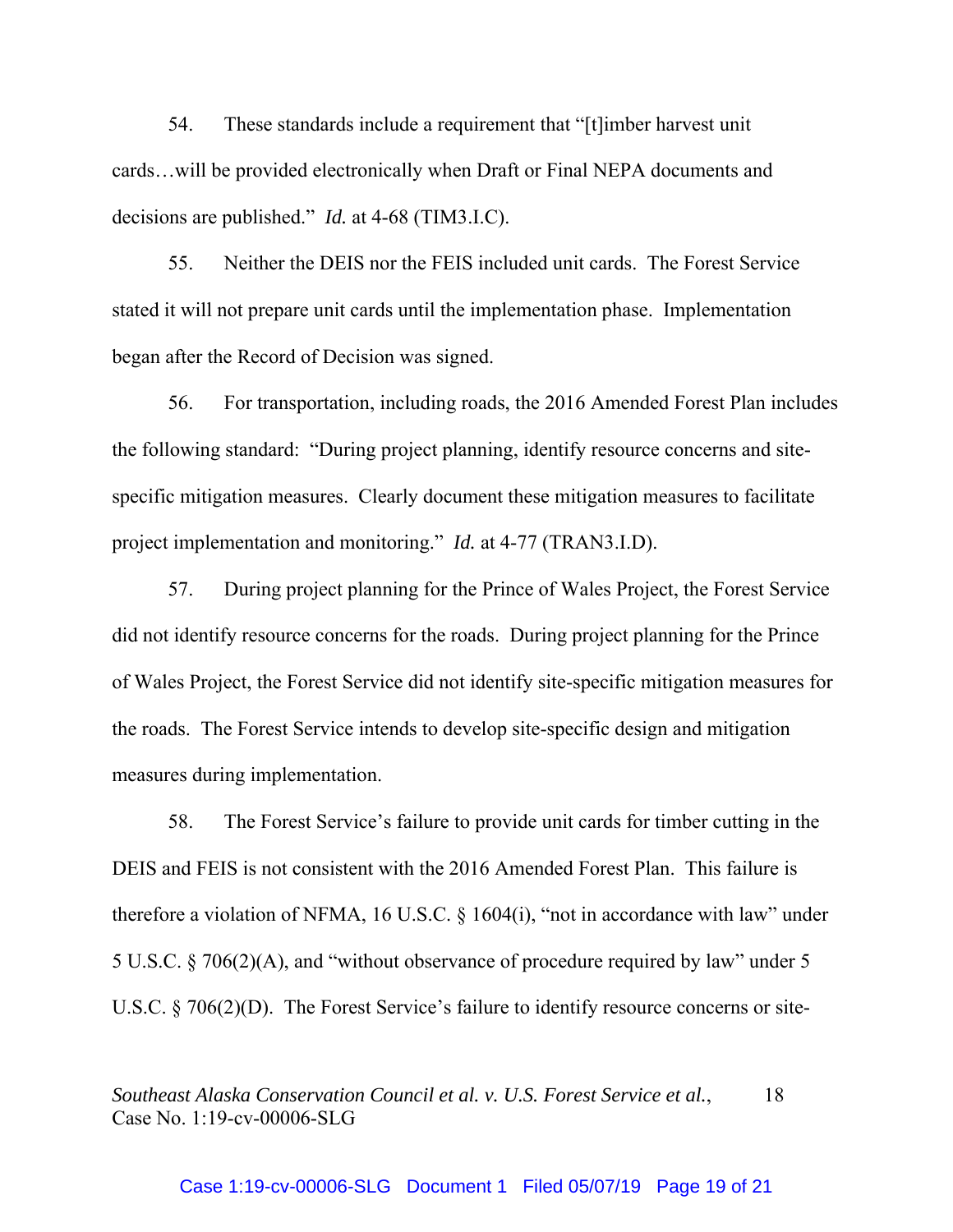54. These standards include a requirement that "[t]imber harvest unit cards…will be provided electronically when Draft or Final NEPA documents and decisions are published." *Id.* at 4-68 (TIM3.I.C).

55. Neither the DEIS nor the FEIS included unit cards. The Forest Service stated it will not prepare unit cards until the implementation phase. Implementation began after the Record of Decision was signed.

56. For transportation, including roads, the 2016 Amended Forest Plan includes the following standard: "During project planning, identify resource concerns and sitespecific mitigation measures. Clearly document these mitigation measures to facilitate project implementation and monitoring." *Id.* at 4-77 (TRAN3.I.D).

57. During project planning for the Prince of Wales Project, the Forest Service did not identify resource concerns for the roads. During project planning for the Prince of Wales Project, the Forest Service did not identify site-specific mitigation measures for the roads. The Forest Service intends to develop site-specific design and mitigation measures during implementation.

58. The Forest Service's failure to provide unit cards for timber cutting in the DEIS and FEIS is not consistent with the 2016 Amended Forest Plan. This failure is therefore a violation of NFMA, 16 U.S.C. § 1604(i), "not in accordance with law" under 5 U.S.C. § 706(2)(A), and "without observance of procedure required by law" under 5 U.S.C. § 706(2)(D). The Forest Service's failure to identify resource concerns or site-

*Southeast Alaska Conservation Council et al. v. U.S. Forest Service et al.*, 18 Case No. 1:19-cv-00006-SLG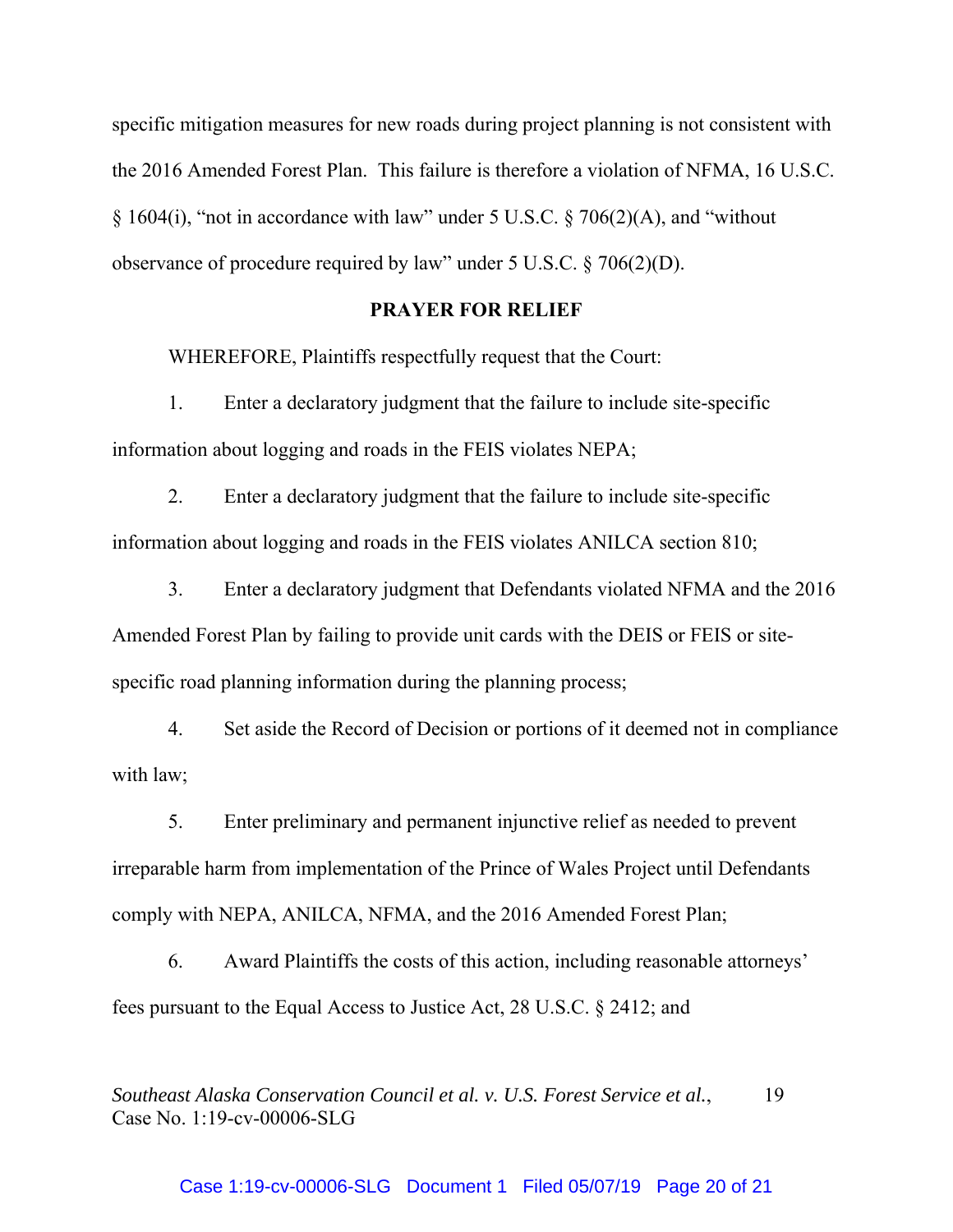specific mitigation measures for new roads during project planning is not consistent with the 2016 Amended Forest Plan. This failure is therefore a violation of NFMA, 16 U.S.C. § 1604(i), "not in accordance with law" under 5 U.S.C. § 706(2)(A), and "without observance of procedure required by law" under 5 U.S.C. § 706(2)(D).

# **PRAYER FOR RELIEF**

WHEREFORE, Plaintiffs respectfully request that the Court:

1. Enter a declaratory judgment that the failure to include site-specific information about logging and roads in the FEIS violates NEPA;

2. Enter a declaratory judgment that the failure to include site-specific information about logging and roads in the FEIS violates ANILCA section 810;

3. Enter a declaratory judgment that Defendants violated NFMA and the 2016 Amended Forest Plan by failing to provide unit cards with the DEIS or FEIS or sitespecific road planning information during the planning process;

4. Set aside the Record of Decision or portions of it deemed not in compliance with law;

5. Enter preliminary and permanent injunctive relief as needed to prevent irreparable harm from implementation of the Prince of Wales Project until Defendants comply with NEPA, ANILCA, NFMA, and the 2016 Amended Forest Plan;

6. Award Plaintiffs the costs of this action, including reasonable attorneys' fees pursuant to the Equal Access to Justice Act, 28 U.S.C. § 2412; and

*Southeast Alaska Conservation Council et al. v. U.S. Forest Service et al.*, 19 Case No. 1:19-cv-00006-SLG

### Case 1:19-cv-00006-SLG Document 1 Filed 05/07/19 Page 20 of 21